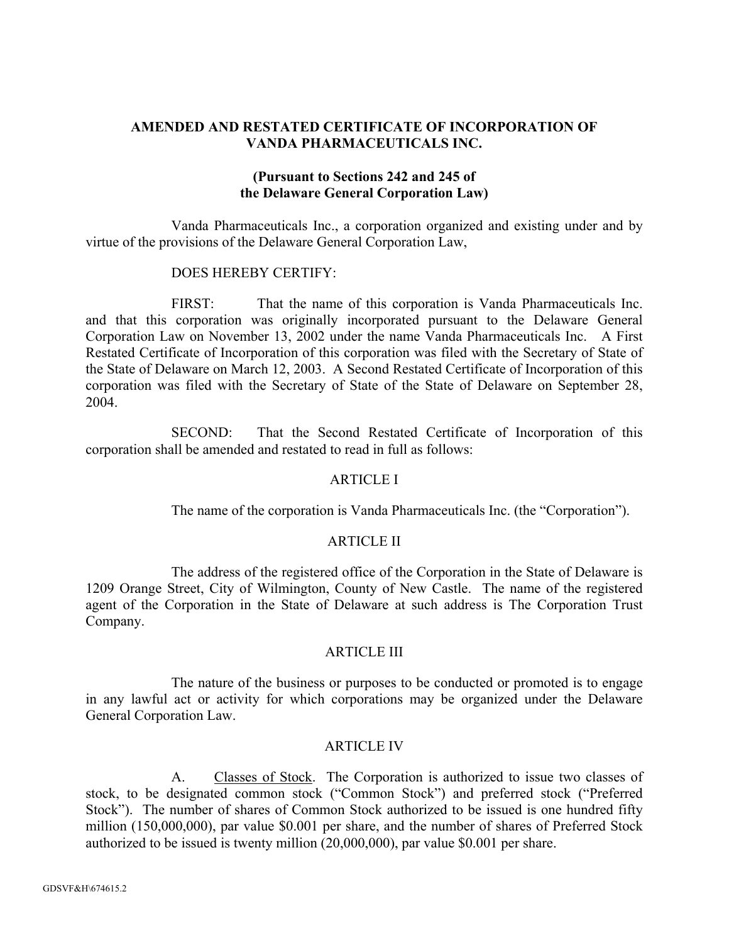## **AMENDED AND RESTATED CERTIFICATE OF INCORPORATION OF VANDA PHARMACEUTICALS INC.**

## **(Pursuant to Sections 242 and 245 of the Delaware General Corporation Law)**

Vanda Pharmaceuticals Inc., a corporation organized and existing under and by virtue of the provisions of the Delaware General Corporation Law,

## DOES HEREBY CERTIFY:

FIRST: That the name of this corporation is Vanda Pharmaceuticals Inc. and that this corporation was originally incorporated pursuant to the Delaware General Corporation Law on November 13, 2002 under the name Vanda Pharmaceuticals Inc. A First Restated Certificate of Incorporation of this corporation was filed with the Secretary of State of the State of Delaware on March 12, 2003. A Second Restated Certificate of Incorporation of this corporation was filed with the Secretary of State of the State of Delaware on September 28, 2004.

SECOND: That the Second Restated Certificate of Incorporation of this corporation shall be amended and restated to read in full as follows:

## ARTICLE I

The name of the corporation is Vanda Pharmaceuticals Inc. (the "Corporation").

#### ARTICLE II

The address of the registered office of the Corporation in the State of Delaware is 1209 Orange Street, City of Wilmington, County of New Castle. The name of the registered agent of the Corporation in the State of Delaware at such address is The Corporation Trust Company.

## **ARTICLE III**

The nature of the business or purposes to be conducted or promoted is to engage in any lawful act or activity for which corporations may be organized under the Delaware General Corporation Law.

#### ARTICLE IV

A. Classes of Stock. The Corporation is authorized to issue two classes of stock, to be designated common stock ("Common Stock") and preferred stock ("Preferred Stock"). The number of shares of Common Stock authorized to be issued is one hundred fifty million (150,000,000), par value \$0.001 per share, and the number of shares of Preferred Stock authorized to be issued is twenty million (20,000,000), par value \$0.001 per share.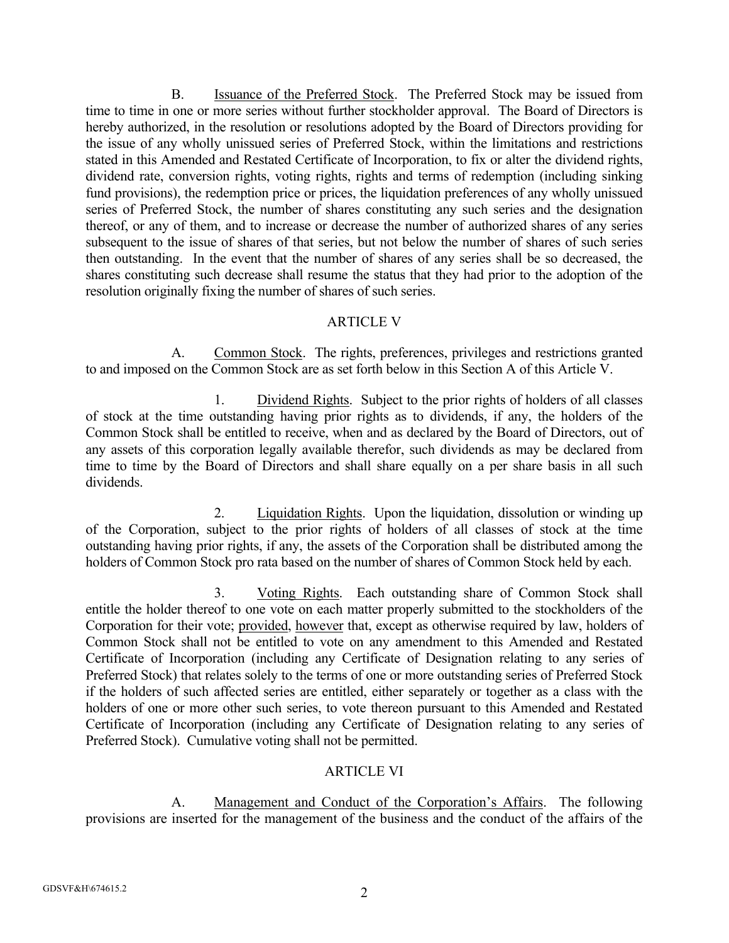B. Issuance of the Preferred Stock. The Preferred Stock may be issued from time to time in one or more series without further stockholder approval. The Board of Directors is hereby authorized, in the resolution or resolutions adopted by the Board of Directors providing for the issue of any wholly unissued series of Preferred Stock, within the limitations and restrictions stated in this Amended and Restated Certificate of Incorporation, to fix or alter the dividend rights, dividend rate, conversion rights, voting rights, rights and terms of redemption (including sinking fund provisions), the redemption price or prices, the liquidation preferences of any wholly unissued series of Preferred Stock, the number of shares constituting any such series and the designation thereof, or any of them, and to increase or decrease the number of authorized shares of any series subsequent to the issue of shares of that series, but not below the number of shares of such series then outstanding. In the event that the number of shares of any series shall be so decreased, the shares constituting such decrease shall resume the status that they had prior to the adoption of the resolution originally fixing the number of shares of such series.

## ARTICLE V

A. Common Stock. The rights, preferences, privileges and restrictions granted to and imposed on the Common Stock are as set forth below in this Section A of this Article V.

 1. Dividend Rights. Subject to the prior rights of holders of all classes of stock at the time outstanding having prior rights as to dividends, if any, the holders of the Common Stock shall be entitled to receive, when and as declared by the Board of Directors, out of any assets of this corporation legally available therefor, such dividends as may be declared from time to time by the Board of Directors and shall share equally on a per share basis in all such dividends.

 2. Liquidation Rights. Upon the liquidation, dissolution or winding up of the Corporation, subject to the prior rights of holders of all classes of stock at the time outstanding having prior rights, if any, the assets of the Corporation shall be distributed among the holders of Common Stock pro rata based on the number of shares of Common Stock held by each.

 3. Voting Rights. Each outstanding share of Common Stock shall entitle the holder thereof to one vote on each matter properly submitted to the stockholders of the Corporation for their vote; provided, however that, except as otherwise required by law, holders of Common Stock shall not be entitled to vote on any amendment to this Amended and Restated Certificate of Incorporation (including any Certificate of Designation relating to any series of Preferred Stock) that relates solely to the terms of one or more outstanding series of Preferred Stock if the holders of such affected series are entitled, either separately or together as a class with the holders of one or more other such series, to vote thereon pursuant to this Amended and Restated Certificate of Incorporation (including any Certificate of Designation relating to any series of Preferred Stock). Cumulative voting shall not be permitted.

# ARTICLE VI

 A. Management and Conduct of the Corporation's Affairs. The following provisions are inserted for the management of the business and the conduct of the affairs of the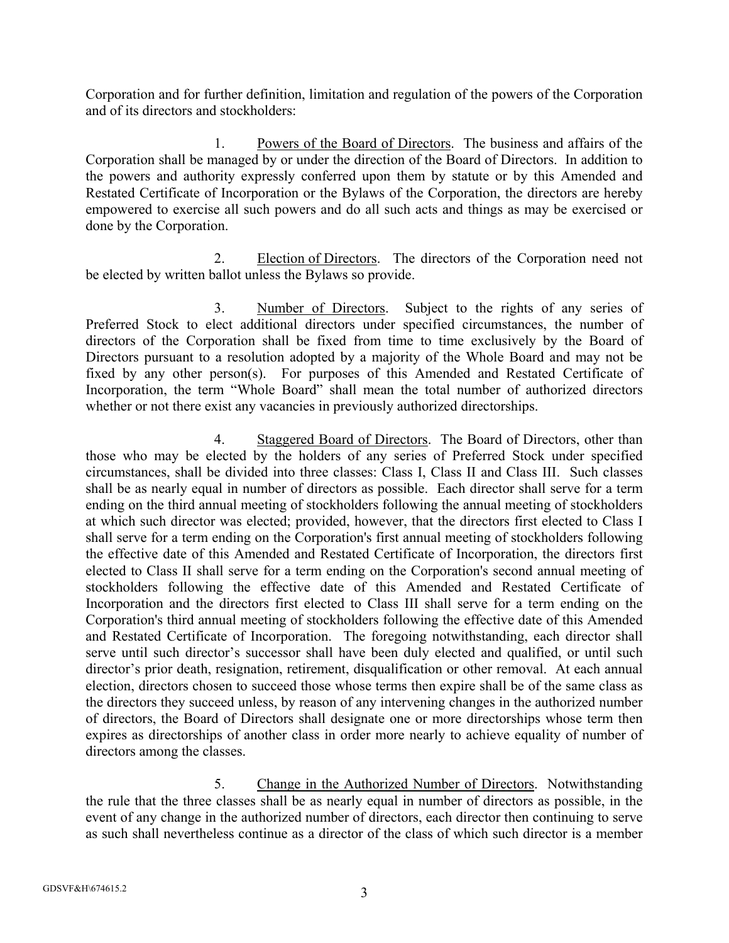Corporation and for further definition, limitation and regulation of the powers of the Corporation and of its directors and stockholders:

 1. Powers of the Board of Directors. The business and affairs of the Corporation shall be managed by or under the direction of the Board of Directors. In addition to the powers and authority expressly conferred upon them by statute or by this Amended and Restated Certificate of Incorporation or the Bylaws of the Corporation, the directors are hereby empowered to exercise all such powers and do all such acts and things as may be exercised or done by the Corporation.

 2. Election of Directors. The directors of the Corporation need not be elected by written ballot unless the Bylaws so provide.

 3. Number of Directors. Subject to the rights of any series of Preferred Stock to elect additional directors under specified circumstances, the number of directors of the Corporation shall be fixed from time to time exclusively by the Board of Directors pursuant to a resolution adopted by a majority of the Whole Board and may not be fixed by any other person(s). For purposes of this Amended and Restated Certificate of Incorporation, the term "Whole Board" shall mean the total number of authorized directors whether or not there exist any vacancies in previously authorized directorships.

 4. Staggered Board of Directors. The Board of Directors, other than those who may be elected by the holders of any series of Preferred Stock under specified circumstances, shall be divided into three classes: Class I, Class II and Class III. Such classes shall be as nearly equal in number of directors as possible. Each director shall serve for a term ending on the third annual meeting of stockholders following the annual meeting of stockholders at which such director was elected; provided, however, that the directors first elected to Class I shall serve for a term ending on the Corporation's first annual meeting of stockholders following the effective date of this Amended and Restated Certificate of Incorporation, the directors first elected to Class II shall serve for a term ending on the Corporation's second annual meeting of stockholders following the effective date of this Amended and Restated Certificate of Incorporation and the directors first elected to Class III shall serve for a term ending on the Corporation's third annual meeting of stockholders following the effective date of this Amended and Restated Certificate of Incorporation. The foregoing notwithstanding, each director shall serve until such director's successor shall have been duly elected and qualified, or until such director's prior death, resignation, retirement, disqualification or other removal. At each annual election, directors chosen to succeed those whose terms then expire shall be of the same class as the directors they succeed unless, by reason of any intervening changes in the authorized number of directors, the Board of Directors shall designate one or more directorships whose term then expires as directorships of another class in order more nearly to achieve equality of number of directors among the classes.

 5. Change in the Authorized Number of Directors. Notwithstanding the rule that the three classes shall be as nearly equal in number of directors as possible, in the event of any change in the authorized number of directors, each director then continuing to serve as such shall nevertheless continue as a director of the class of which such director is a member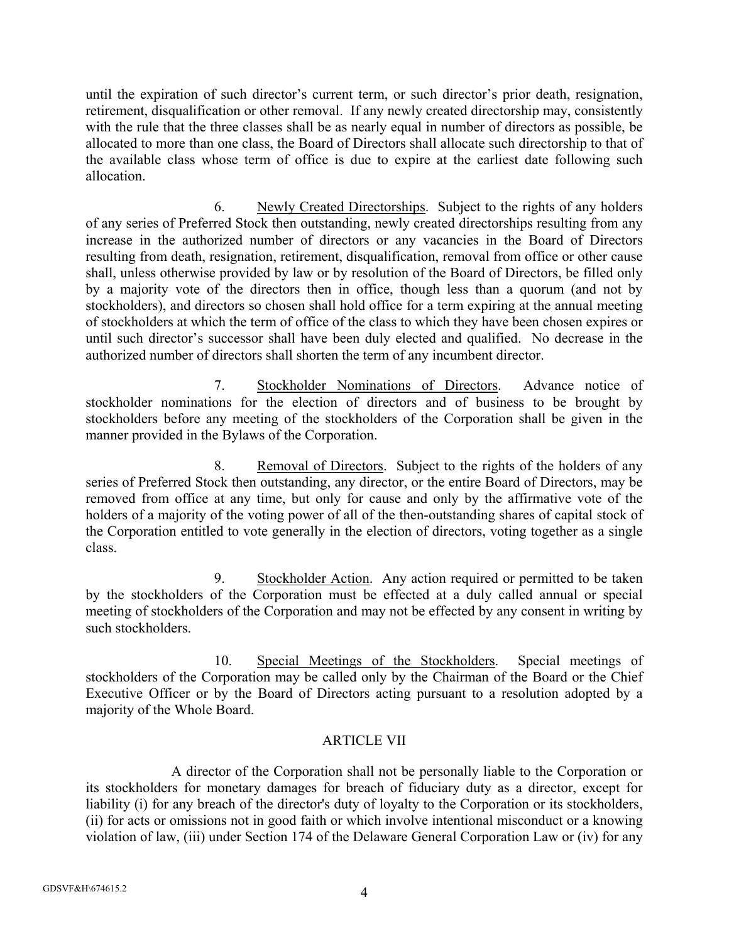until the expiration of such director's current term, or such director's prior death, resignation, retirement, disqualification or other removal. If any newly created directorship may, consistently with the rule that the three classes shall be as nearly equal in number of directors as possible, be allocated to more than one class, the Board of Directors shall allocate such directorship to that of the available class whose term of office is due to expire at the earliest date following such allocation.

 6. Newly Created Directorships. Subject to the rights of any holders of any series of Preferred Stock then outstanding, newly created directorships resulting from any increase in the authorized number of directors or any vacancies in the Board of Directors resulting from death, resignation, retirement, disqualification, removal from office or other cause shall, unless otherwise provided by law or by resolution of the Board of Directors, be filled only by a majority vote of the directors then in office, though less than a quorum (and not by stockholders), and directors so chosen shall hold office for a term expiring at the annual meeting of stockholders at which the term of office of the class to which they have been chosen expires or until such director's successor shall have been duly elected and qualified. No decrease in the authorized number of directors shall shorten the term of any incumbent director.

 7. Stockholder Nominations of Directors. Advance notice of stockholder nominations for the election of directors and of business to be brought by stockholders before any meeting of the stockholders of the Corporation shall be given in the manner provided in the Bylaws of the Corporation.

 8. Removal of Directors. Subject to the rights of the holders of any series of Preferred Stock then outstanding, any director, or the entire Board of Directors, may be removed from office at any time, but only for cause and only by the affirmative vote of the holders of a majority of the voting power of all of the then-outstanding shares of capital stock of the Corporation entitled to vote generally in the election of directors, voting together as a single class.

 9. Stockholder Action. Any action required or permitted to be taken by the stockholders of the Corporation must be effected at a duly called annual or special meeting of stockholders of the Corporation and may not be effected by any consent in writing by such stockholders.

 10. Special Meetings of the Stockholders. Special meetings of stockholders of the Corporation may be called only by the Chairman of the Board or the Chief Executive Officer or by the Board of Directors acting pursuant to a resolution adopted by a majority of the Whole Board.

# ARTICLE VII

A director of the Corporation shall not be personally liable to the Corporation or its stockholders for monetary damages for breach of fiduciary duty as a director, except for liability (i) for any breach of the director's duty of loyalty to the Corporation or its stockholders, (ii) for acts or omissions not in good faith or which involve intentional misconduct or a knowing violation of law, (iii) under Section 174 of the Delaware General Corporation Law or (iv) for any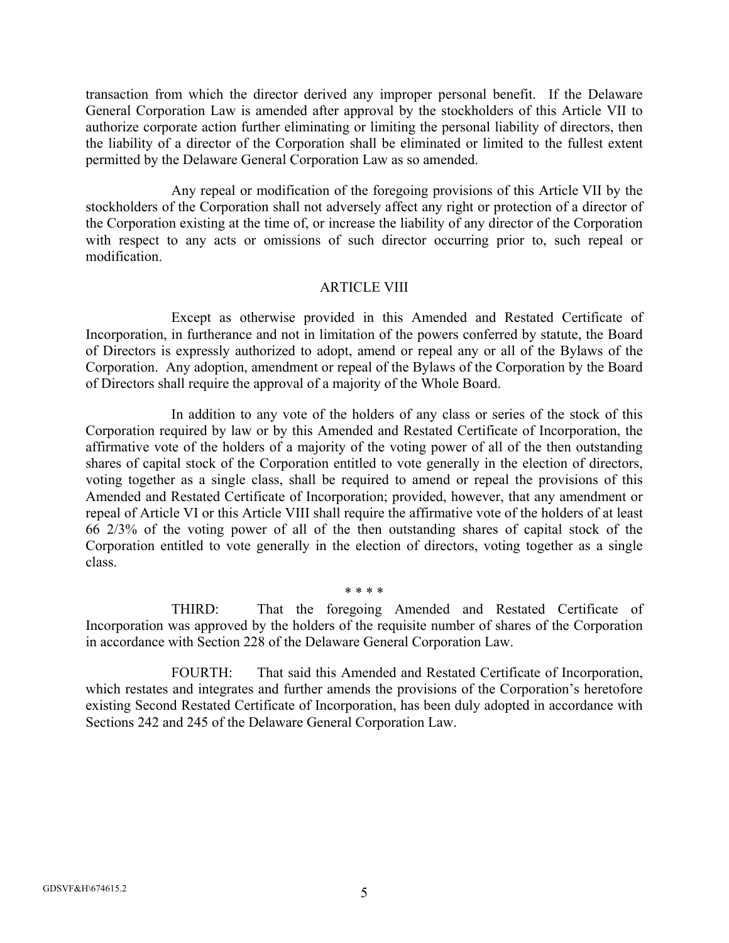transaction from which the director derived any improper personal benefit. If the Delaware General Corporation Law is amended after approval by the stockholders of this Article VII to authorize corporate action further eliminating or limiting the personal liability of directors, then the liability of a director of the Corporation shall be eliminated or limited to the fullest extent permitted by the Delaware General Corporation Law as so amended.

Any repeal or modification of the foregoing provisions of this Article VII by the stockholders of the Corporation shall not adversely affect any right or protection of a director of the Corporation existing at the time of, or increase the liability of any director of the Corporation with respect to any acts or omissions of such director occurring prior to, such repeal or modification.

## ARTICLE VIII

Except as otherwise provided in this Amended and Restated Certificate of Incorporation, in furtherance and not in limitation of the powers conferred by statute, the Board of Directors is expressly authorized to adopt, amend or repeal any or all of the Bylaws of the Corporation. Any adoption, amendment or repeal of the Bylaws of the Corporation by the Board of Directors shall require the approval of a majority of the Whole Board.

In addition to any vote of the holders of any class or series of the stock of this Corporation required by law or by this Amended and Restated Certificate of Incorporation, the affirmative vote of the holders of a majority of the voting power of all of the then outstanding shares of capital stock of the Corporation entitled to vote generally in the election of directors, voting together as a single class, shall be required to amend or repeal the provisions of this Amended and Restated Certificate of Incorporation; provided, however, that any amendment or repeal of Article VI or this Article VIII shall require the affirmative vote of the holders of at least 66 2/3% of the voting power of all of the then outstanding shares of capital stock of the Corporation entitled to vote generally in the election of directors, voting together as a single class.

\* \* \* \*

THIRD: That the foregoing Amended and Restated Certificate of Incorporation was approved by the holders of the requisite number of shares of the Corporation in accordance with Section 228 of the Delaware General Corporation Law.

FOURTH: That said this Amended and Restated Certificate of Incorporation, which restates and integrates and further amends the provisions of the Corporation's heretofore existing Second Restated Certificate of Incorporation, has been duly adopted in accordance with Sections 242 and 245 of the Delaware General Corporation Law.